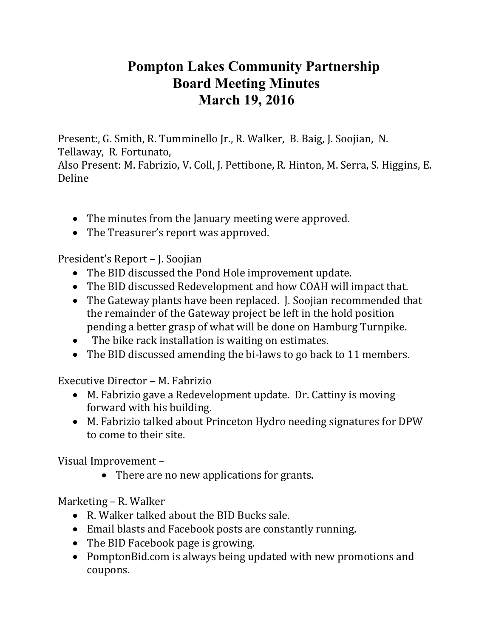## **Pompton Lakes Community Partnership Board Meeting Minutes March 19, 2016**

Present:, G. Smith, R. Tumminello Jr., R. Walker, B. Baig, J. Soojian, N. Tellaway, R. Fortunato,

Also Present: M. Fabrizio, V. Coll, J. Pettibone, R. Hinton, M. Serra, S. Higgins, E. Deline

- The minutes from the January meeting were approved.
- The Treasurer's report was approved.

President's Report – J. Soojian

- The BID discussed the Pond Hole improvement update.
- The BID discussed Redevelopment and how COAH will impact that.
- The Gateway plants have been replaced. J. Soojian recommended that the remainder of the Gateway project be left in the hold position pending a better grasp of what will be done on Hamburg Turnpike.
- The bike rack installation is waiting on estimates.
- The BID discussed amending the bi-laws to go back to 11 members.

Executive Director – M. Fabrizio

- M. Fabrizio gave a Redevelopment update. Dr. Cattiny is moving forward with his building.
- M. Fabrizio talked about Princeton Hydro needing signatures for DPW to come to their site.

Visual Improvement –

• There are no new applications for grants.

Marketing – R. Walker

- R. Walker talked about the BID Bucks sale.
- Email blasts and Facebook posts are constantly running.
- The BID Facebook page is growing.
- PomptonBid.com is always being updated with new promotions and coupons.